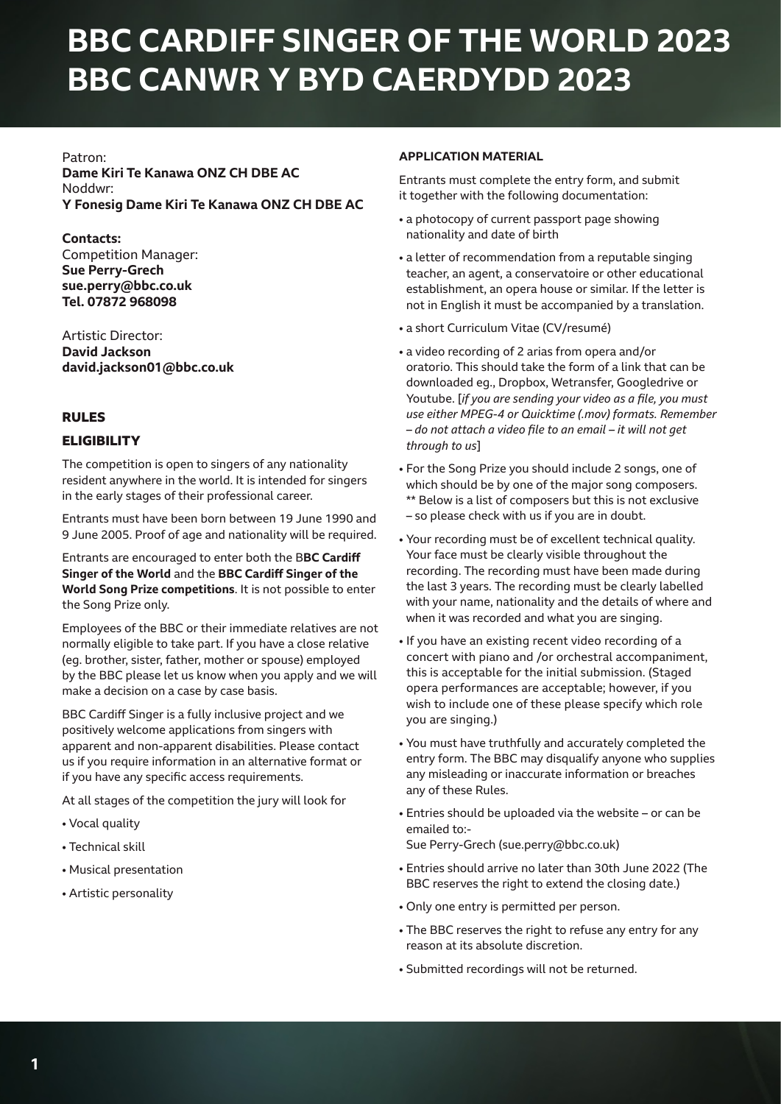# **BBC CARDIFF SINGER OF THE WORLD 2023 BBC CANWR Y BYD CAERDYDD 2023**

### Patron:

**Dame Kiri Te Kanawa ONZ CH DBE AC** Noddwr: **Y Fonesig Dame Kiri Te Kanawa ONZ CH DBE AC**

## **Contacts:**

Competition Manager: **Sue Perry-Grech sue.perry@bbc.co.uk Tel. 07872 968098** 

Artistic Director: **David Jackson david.jackson01@bbc.co.uk**

## **RULES**

## **ELIGIBILITY**

The competition is open to singers of any nationality resident anywhere in the world. It is intended for singers in the early stages of their professional career.

Entrants must have been born between 19 June 1990 and 9 June 2005. Proof of age and nationality will be required.

Entrants are encouraged to enter both the B**BC Cardiff Singer of the World** and the **BBC Cardiff Singer of the World Song Prize competitions**. It is not possible to enter the Song Prize only.

Employees of the BBC or their immediate relatives are not normally eligible to take part. If you have a close relative (eg. brother, sister, father, mother or spouse) employed by the BBC please let us know when you apply and we will make a decision on a case by case basis.

BBC Cardiff Singer is a fully inclusive project and we positively welcome applications from singers with apparent and non-apparent disabilities. Please contact us if you require information in an alternative format or if you have any specific access requirements.

At all stages of the competition the jury will look for

- Vocal quality
- Technical skill
- Musical presentation
- Artistic personality

## **APPLICATION MATERIAL**

Entrants must complete the entry form, and submit it together with the following documentation:

- a photocopy of current passport page showing nationality and date of birth
- a letter of recommendation from a reputable singing teacher, an agent, a conservatoire or other educational establishment, an opera house or similar. If the letter is not in English it must be accompanied by a translation.
- a short Curriculum Vitae (CV/resumé)
- a video recording of 2 arias from opera and/or oratorio. This should take the form of a link that can be downloaded eg., Dropbox, Wetransfer, Googledrive or Youtube. [*if you are sending your video as a file, you must use either MPEG-4 or Quicktime (.mov) formats. Remember – do not attach a video file to an email – it will not get through to us*]
- For the Song Prize you should include 2 songs, one of which should be by one of the major song composers. \*\* Below is a list of composers but this is not exclusive – so please check with us if you are in doubt.
- Your recording must be of excellent technical quality. Your face must be clearly visible throughout the recording. The recording must have been made during the last 3 years. The recording must be clearly labelled with your name, nationality and the details of where and when it was recorded and what you are singing.
- If you have an existing recent video recording of a concert with piano and /or orchestral accompaniment, this is acceptable for the initial submission. (Staged opera performances are acceptable; however, if you wish to include one of these please specify which role you are singing.)
- You must have truthfully and accurately completed the entry form. The BBC may disqualify anyone who supplies any misleading or inaccurate information or breaches any of these Rules.
- Entries should be uploaded via the website or can be emailed to:-
- Sue Perry-Grech (sue.perry@bbc.co.uk)
- Entries should arrive no later than 30th June 2022 (The BBC reserves the right to extend the closing date.)
- Only one entry is permitted per person.
- The BBC reserves the right to refuse any entry for any reason at its absolute discretion.
- Submitted recordings will not be returned.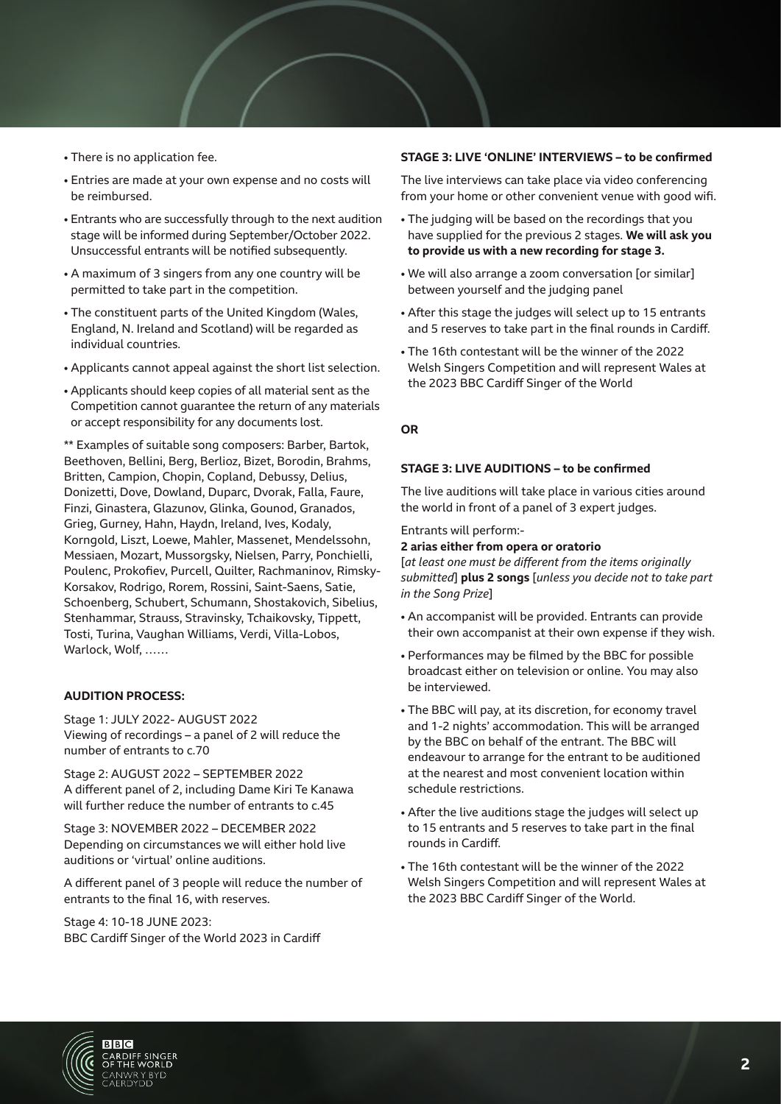- There is no application fee.
- Entries are made at your own expense and no costs will be reimbursed.
- Entrants who are successfully through to the next audition stage will be informed during September/October 2022. Unsuccessful entrants will be notified subsequently.
- A maximum of 3 singers from any one country will be permitted to take part in the competition.
- The constituent parts of the United Kingdom (Wales, England, N. Ireland and Scotland) will be regarded as individual countries.
- Applicants cannot appeal against the short list selection.
- Applicants should keep copies of all material sent as the Competition cannot guarantee the return of any materials or accept responsibility for any documents lost.

\*\* Examples of suitable song composers: Barber, Bartok, Beethoven, Bellini, Berg, Berlioz, Bizet, Borodin, Brahms, Britten, Campion, Chopin, Copland, Debussy, Delius, Donizetti, Dove, Dowland, Duparc, Dvorak, Falla, Faure, Finzi, Ginastera, Glazunov, Glinka, Gounod, Granados, Grieg, Gurney, Hahn, Haydn, Ireland, Ives, Kodaly, Korngold, Liszt, Loewe, Mahler, Massenet, Mendelssohn, Messiaen, Mozart, Mussorgsky, Nielsen, Parry, Ponchielli, Poulenc, Prokofiev, Purcell, Quilter, Rachmaninov, Rimsky-Korsakov, Rodrigo, Rorem, Rossini, Saint-Saens, Satie, Schoenberg, Schubert, Schumann, Shostakovich, Sibelius, Stenhammar, Strauss, Stravinsky, Tchaikovsky, Tippett, Tosti, Turina, Vaughan Williams, Verdi, Villa-Lobos, Warlock, Wolf, ……

#### **AUDITION PROCESS:**

Stage 1: JULY 2022- AUGUST 2022 Viewing of recordings – a panel of 2 will reduce the number of entrants to c.70

Stage 2: AUGUST 2022 – SEPTEMBER 2022 A different panel of 2, including Dame Kiri Te Kanawa will further reduce the number of entrants to c.45

Stage 3: NOVEMBER 2022 – DECEMBER 2022 Depending on circumstances we will either hold live auditions or 'virtual' online auditions.

A different panel of 3 people will reduce the number of entrants to the final 16, with reserves.

Stage 4: 10-18 JUNE 2023: BBC Cardiff Singer of the World 2023 in Cardiff

#### **STAGE 3: LIVE 'ONLINE' INTERVIEWS – to be confirmed**

The live interviews can take place via video conferencing from your home or other convenient venue with good wifi.

- The judging will be based on the recordings that you have supplied for the previous 2 stages. **We will ask you to provide us with a new recording for stage 3.**
- We will also arrange a zoom conversation [or similar] between yourself and the judging panel
- After this stage the judges will select up to 15 entrants and 5 reserves to take part in the final rounds in Cardiff.
- The 16th contestant will be the winner of the 2022 Welsh Singers Competition and will represent Wales at the 2023 BBC Cardiff Singer of the World

#### **OR**

#### **STAGE 3: LIVE AUDITIONS – to be confirmed**

The live auditions will take place in various cities around the world in front of a panel of 3 expert judges.

#### Entrants will perform:-

#### **2 arias either from opera or oratorio**

[*at least one must be different from the items originally submitted*] **plus 2 songs** [*unless you decide not to take part in the Song Prize*]

- An accompanist will be provided. Entrants can provide their own accompanist at their own expense if they wish.
- Performances may be filmed by the BBC for possible broadcast either on television or online. You may also be interviewed.
- The BBC will pay, at its discretion, for economy travel and 1-2 nights' accommodation. This will be arranged by the BBC on behalf of the entrant. The BBC will endeavour to arrange for the entrant to be auditioned at the nearest and most convenient location within schedule restrictions.
- After the live auditions stage the judges will select up to 15 entrants and 5 reserves to take part in the final rounds in Cardiff.
- The 16th contestant will be the winner of the 2022 Welsh Singers Competition and will represent Wales at the 2023 BBC Cardiff Singer of the World.

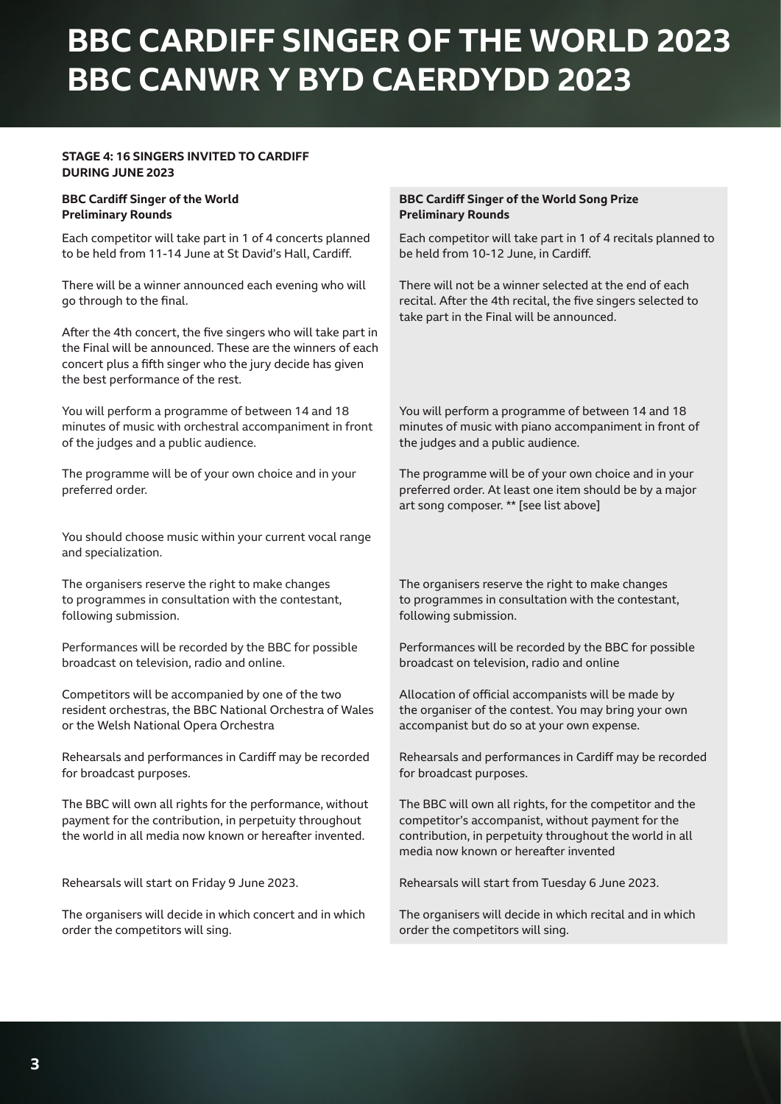# **BBC CARDIFF SINGER OF THE WORLD 2023 BBC CANWR Y BYD CAERDYDD 2023**

## **STAGE 4: 16 SINGERS INVITED TO CARDIFF DURING JUNE 2023**

#### **BBC Cardiff Singer of the World Preliminary Rounds**

Each competitor will take part in 1 of 4 concerts planned to be held from 11-14 June at St David's Hall, Cardiff.

There will be a winner announced each evening who will go through to the final.

After the 4th concert, the five singers who will take part in the Final will be announced. These are the winners of each concert plus a fifth singer who the jury decide has given the best performance of the rest.

You will perform a programme of between 14 and 18 minutes of music with orchestral accompaniment in front of the judges and a public audience.

The programme will be of your own choice and in your preferred order.

You should choose music within your current vocal range and specialization.

The organisers reserve the right to make changes to programmes in consultation with the contestant, following submission.

Performances will be recorded by the BBC for possible broadcast on television, radio and online.

Competitors will be accompanied by one of the two resident orchestras, the BBC National Orchestra of Wales or the Welsh National Opera Orchestra

Rehearsals and performances in Cardiff may be recorded for broadcast purposes.

The BBC will own all rights for the performance, without payment for the contribution, in perpetuity throughout the world in all media now known or hereafter invented.

Rehearsals will start on Friday 9 June 2023.

The organisers will decide in which concert and in which order the competitors will sing.

#### **BBC Cardiff Singer of the World Song Prize Preliminary Rounds**

Each competitor will take part in 1 of 4 recitals planned to be held from 10-12 June, in Cardiff.

There will not be a winner selected at the end of each recital. After the 4th recital, the five singers selected to take part in the Final will be announced.

You will perform a programme of between 14 and 18 minutes of music with piano accompaniment in front of the judges and a public audience.

The programme will be of your own choice and in your preferred order. At least one item should be by a major art song composer. \*\* [see list above]

The organisers reserve the right to make changes to programmes in consultation with the contestant, following submission.

Performances will be recorded by the BBC for possible broadcast on television, radio and online

Allocation of official accompanists will be made by the organiser of the contest. You may bring your own accompanist but do so at your own expense.

Rehearsals and performances in Cardiff may be recorded for broadcast purposes.

The BBC will own all rights, for the competitor and the competitor's accompanist, without payment for the contribution, in perpetuity throughout the world in all media now known or hereafter invented

Rehearsals will start from Tuesday 6 June 2023.

The organisers will decide in which recital and in which order the competitors will sing.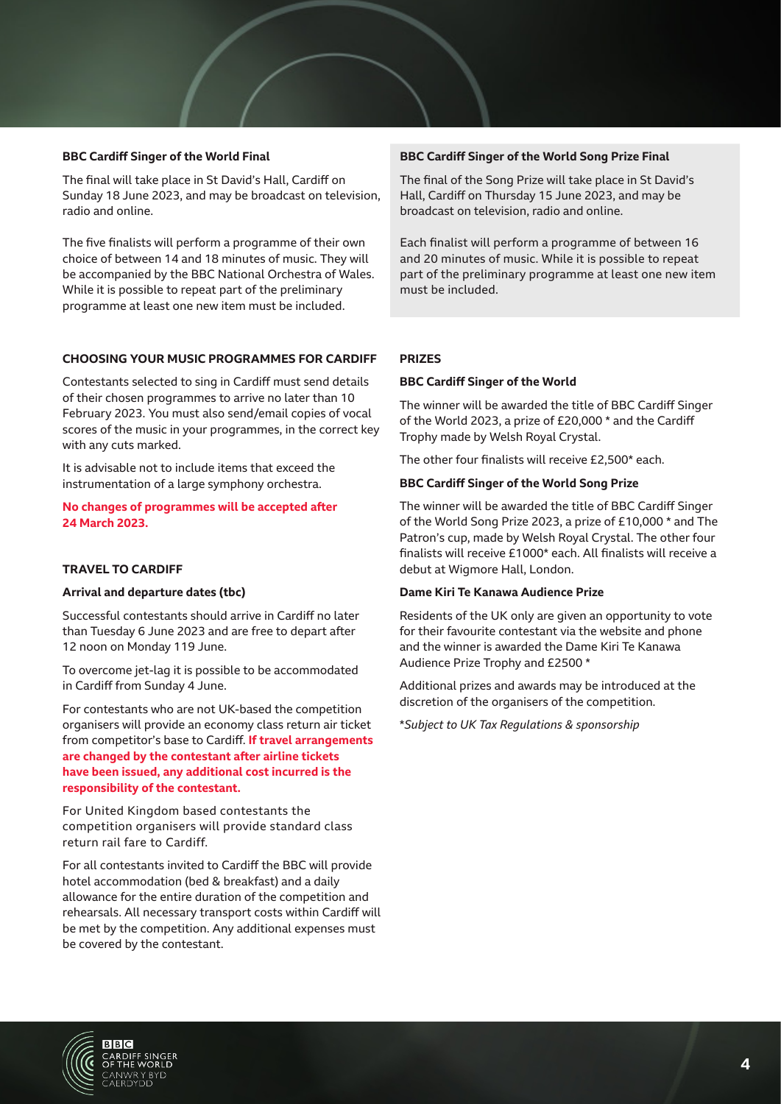## **BBC Cardiff Singer of the World Final**

The final will take place in St David's Hall, Cardiff on Sunday 18 June 2023, and may be broadcast on television, radio and online.

The five finalists will perform a programme of their own choice of between 14 and 18 minutes of music. They will be accompanied by the BBC National Orchestra of Wales. While it is possible to repeat part of the preliminary programme at least one new item must be included.

#### **CHOOSING YOUR MUSIC PROGRAMMES FOR CARDIFF**

Contestants selected to sing in Cardiff must send details of their chosen programmes to arrive no later than 10 February 2023. You must also send/email copies of vocal scores of the music in your programmes, in the correct key with any cuts marked.

It is advisable not to include items that exceed the instrumentation of a large symphony orchestra.

**No changes of programmes will be accepted after 24 March 2023.**

### **TRAVEL TO CARDIFF**

#### **Arrival and departure dates (tbc)**

Successful contestants should arrive in Cardiff no later than Tuesday 6 June 2023 and are free to depart after 12 noon on Monday 119 June.

To overcome jet-lag it is possible to be accommodated in Cardiff from Sunday 4 June.

For contestants who are not UK-based the competition organisers will provide an economy class return air ticket from competitor's base to Cardiff. **If travel arrangements are changed by the contestant after airline tickets have been issued, any additional cost incurred is the responsibility of the contestant.**

For United Kingdom based contestants the competition organisers will provide standard class return rail fare to Cardiff.

For all contestants invited to Cardiff the BBC will provide hotel accommodation (bed & breakfast) and a daily allowance for the entire duration of the competition and rehearsals. All necessary transport costs within Cardiff will be met by the competition. Any additional expenses must be covered by the contestant.

#### **BBC Cardiff Singer of the World Song Prize Final**

The final of the Song Prize will take place in St David's Hall, Cardiff on Thursday 15 June 2023, and may be broadcast on television, radio and online.

Each finalist will perform a programme of between 16 and 20 minutes of music. While it is possible to repeat part of the preliminary programme at least one new item must be included.

#### **PRIZES**

#### **BBC Cardiff Singer of the World**

The winner will be awarded the title of BBC Cardiff Singer of the World 2023, a prize of £20,000 \* and the Cardiff Trophy made by Welsh Royal Crystal.

The other four finalists will receive £2,500\* each.

#### **BBC Cardiff Singer of the World Song Prize**

The winner will be awarded the title of BBC Cardiff Singer of the World Song Prize 2023, a prize of £10,000 \* and The Patron's cup, made by Welsh Royal Crystal. The other four finalists will receive £1000\* each. All finalists will receive a debut at Wigmore Hall, London.

#### **Dame Kiri Te Kanawa Audience Prize**

Residents of the UK only are given an opportunity to vote for their favourite contestant via the website and phone and the winner is awarded the Dame Kiri Te Kanawa Audience Prize Trophy and £2500 \*

Additional prizes and awards may be introduced at the discretion of the organisers of the competition.

\**Subject to UK Tax Regulations & sponsorship*

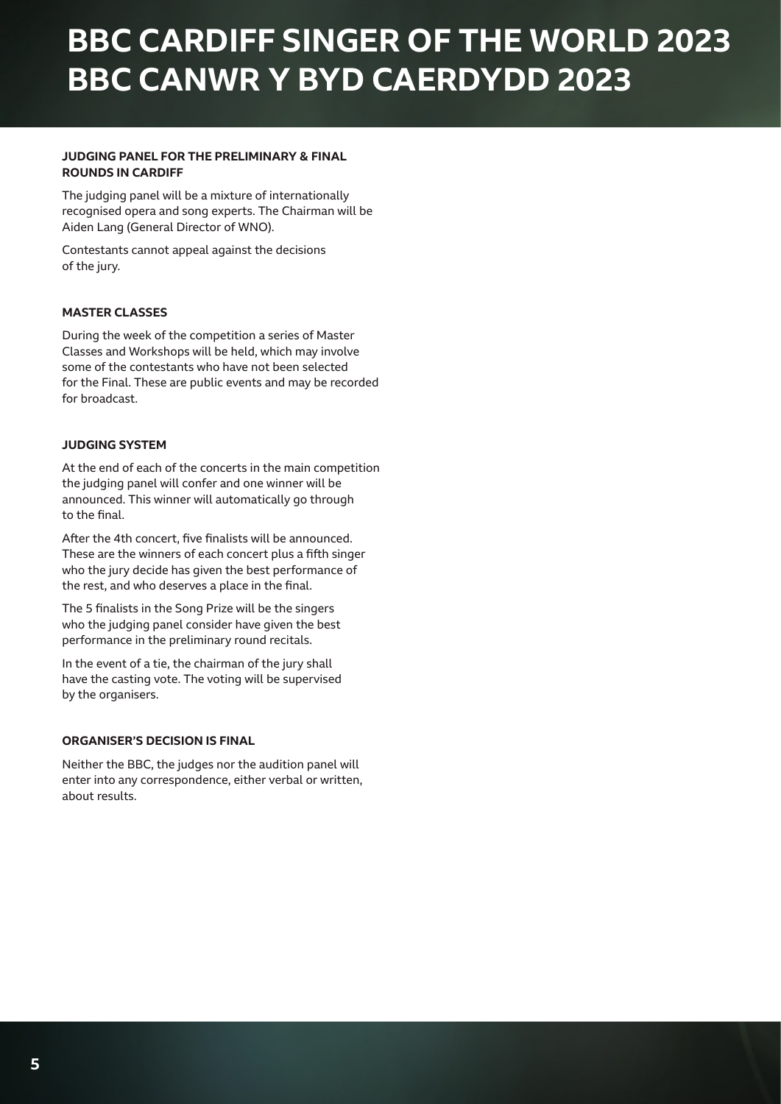# **BBC CARDIFF SINGER OF THE WORLD 2023 BBC CANWR Y BYD CAERDYDD 2023**

## **JUDGING PANEL FOR THE PRELIMINARY & FINAL ROUNDS IN CARDIFF**

The judging panel will be a mixture of internationally recognised opera and song experts. The Chairman will be Aiden Lang (General Director of WNO).

Contestants cannot appeal against the decisions of the jury.

## **MASTER CLASSES**

During the week of the competition a series of Master Classes and Workshops will be held, which may involve some of the contestants who have not been selected for the Final. These are public events and may be recorded for broadcast.

#### **JUDGING SYSTEM**

At the end of each of the concerts in the main competition the judging panel will confer and one winner will be announced. This winner will automatically go through to the final.

After the 4th concert, five finalists will be announced. These are the winners of each concert plus a fifth singer who the jury decide has given the best performance of the rest, and who deserves a place in the final.

The 5 finalists in the Song Prize will be the singers who the judging panel consider have given the best performance in the preliminary round recitals.

In the event of a tie, the chairman of the jury shall have the casting vote. The voting will be supervised by the organisers.

### **ORGANISER'S DECISION IS FINAL**

Neither the BBC, the judges nor the audition panel will enter into any correspondence, either verbal or written, about results.